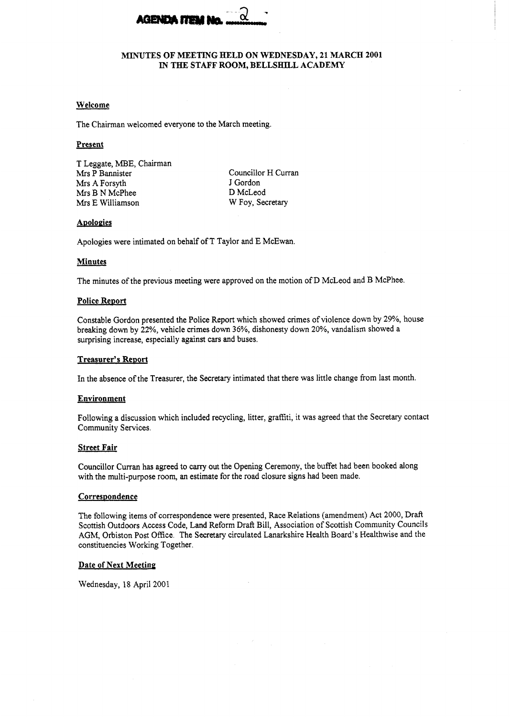

## **MINUTES OF MEETING HELD ON WEDNESDAY, 21 MARCH 2001 IN TEE STAFF ROOM, BELLSHILL ACADEMY**

### **Welcome**

The Chairman welcomed everyone to the March meeting.

### **Present**

T Leggate, MBE, Chairman Mrs P Bannister Mrs A Forsyth Mrs B N McPhee Mrs E Williamson

Councillor H Curran J Gordon D McLeod W Foy, Secretary

## Apologies

Apologies were intimated on behalf of T Taylor and E McEwan.

### **Minutes**

The minutes of the previous meeting were approved on the motion of D McLeod and B McPhee.

### **Police ReDort**

Constable Gordon presented the Police Report which showed crimes of violence down by **29%,** house breaking down by **22%,** vehicle crimes down *36%,* dishonesty down 20%, vandalism showed a surprising increase, especially against cars and buses.

## **Treasurer's ReDort**

In the absence of the Treasurer, the Secretary intimated that there was little change from last month.

### **Environment**

Following a discussion which included recycling, litter, grafiti, it was agreed that the Secretary contact Community Services.

### **Street Fair**

Councillor Curran has agreed to carry out the Opening Ceremony, the buffet had been booked along with the multi-purpose room, an estimate for the road closure signs had been made.

### **Correspondence**

The following items of correspondence were presented, Race Relations (amendment) Act 2000, Draft Scottish Outdoors Access Code, Land Reform Draft Bill, Association of Scottish Community Councils AGM, Orbiston Post Office. The Secretary circulated Lanarkshire Health Board's Healthwise and the constituencies Working Together.

## **Date of Next Meeting**

Wednesday, 18 April 2001